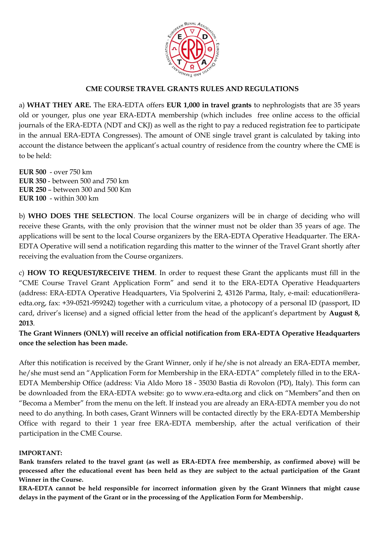

# **CME COURSE TRAVEL GRANTS RULES AND REGULATIONS**

a) **WHAT THEY ARE.** The ERA-EDTA offers **EUR 1,000 in travel grants** to nephrologists that are 35 years old or younger, plus one year ERA-EDTA membership (which includes free online access to the official journals of the ERA-EDTA (NDT and CKJ) as well as the right to pay a reduced registration fee to participate in the annual ERA-EDTA Congresses). The amount of ONE single travel grant is calculated by taking into account the distance between the applicant's actual country of residence from the country where the CME is to be held:

**EUR 500** - over 750 km **EUR 350** - between 500 and 750 km **EUR 250** – between 300 and 500 Km **EUR 100** - within 300 km

b) **WHO DOES THE SELECTION**. The local Course organizers will be in charge of deciding who will receive these Grants, with the only provision that the winner must not be older than 35 years of age. The applications will be sent to the local Course organizers by the ERA-EDTA Operative Headquarter. The ERA-EDTA Operative will send a notification regarding this matter to the winner of the Travel Grant shortly after receiving the evaluation from the Course organizers.

c) **HOW TO REQUEST/RECEIVE THEM**. In order to request these Grant the applicants must fill in the "CME Course Travel Grant Application Form" and send it to the ERA-EDTA Operative Headquarters (address: ERA-EDTA Operative Headquarters, Via Spolverini 2, 43126 Parma, Italy, e-mail: education@eraedta.org, fax: +39-0521-959242) together with a curriculum vitae, a photocopy of a personal ID (passport, ID card, driver's license) and a signed official letter from the head of the applicant's department by **August 8, 2013**.

**The Grant Winners (ONLY) will receive an official notification from ERA-EDTA Operative Headquarters once the selection has been made.** 

After this notification is received by the Grant Winner, only if he/she is not already an ERA-EDTA member, he/she must send an "Application Form for Membership in the ERA-EDTA" completely filled in to the ERA-EDTA Membership Office (address: Via Aldo Moro 18 - 35030 Bastia di Rovolon (PD), Italy). This form can be downloaded from the ERA-EDTA website: go to www.era-edta.org and click on "Members"and then on "Becoma a Member" from the menu on the left. If instead you are already an ERA-EDTA member you do not need to do anything. In both cases, Grant Winners will be contacted directly by the ERA-EDTA Membership Office with regard to their 1 year free ERA-EDTA membership, after the actual verification of their participation in the CME Course.

## **IMPORTANT:**

**Bank transfers related to the travel grant (as well as ERA-EDTA free membership, as confirmed above) will be processed after the educational event has been held as they are subject to the actual participation of the Grant Winner in the Course.**

**ERA-EDTA cannot be held responsible for incorrect information given by the Grant Winners that might cause delays in the payment of the Grant or in the processing of the Application Form for Membership.**